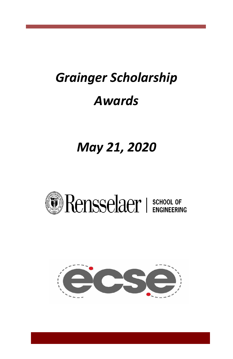# *Grainger Scholarship Awards*

# *May 21, 2020*



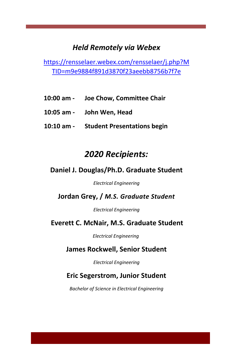# *Held Remotely via Webex*

[https://rensselaer.webex.com/rensselaer/j.php?M](https://rensselaer.webex.com/rensselaer/j.php?MTID=m9e9884f891d3870f23aeebb8756b7f7e) [TID=m9e9884f891d3870f23aeebb8756b7f7e](https://rensselaer.webex.com/rensselaer/j.php?MTID=m9e9884f891d3870f23aeebb8756b7f7e)

- **10:00 am - Joe Chow, Committee Chair**
- **10:05 am - John Wen, Head**
- **10:10 am - Student Presentations begin**

# *2020 Recipients:*

#### **Daniel J. Douglas/Ph.D. Graduate Student**

*Electrical Engineering*

**Jordan Grey, /** *M.S. Graduate Student*

*Electrical Engineering*

#### **Everett C. McNair, M.S. Graduate Student**

*Electrical Engineering*

#### **James Rockwell, Senior Student**

*Electrical Engineering*

#### **Eric Segerstrom, Junior Student**

*Bachelor of Science in Electrical Engineering*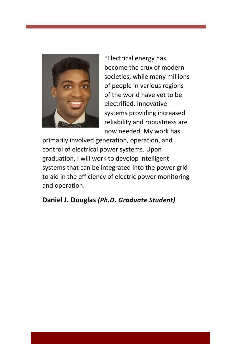

"Electrical energy has become the crux of modern societies, while many millions of people in various regions of the world have yet to be electrified. Innovative systems providing increased reliability and robustness are now needed. My work has

primarily involved generation, operation, and control of electrical power systems. Upon graduation, I will work to develop intelligent systems that can be integrated into the power grid to aid in the efficiency of electric power monitoring and operation.

### **Daniel J. Douglas** *(Ph.D. Graduate Student)*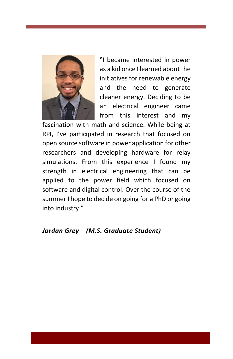

"I became interested in power as a kid once I learned about the initiatives for renewable energy and the need to generate cleaner energy. Deciding to be an electrical engineer came from this interest and my

fascination with math and science. While being at RPI, I've participated in research that focused on open source software in power application for other researchers and developing hardware for relay simulations. From this experience I found my strength in electrical engineering that can be applied to the power field which focused on software and digital control. Over the course of the summer I hope to decide on going for a PhD or going into industry."

#### *Jordan Grey (M.S. Graduate Student)*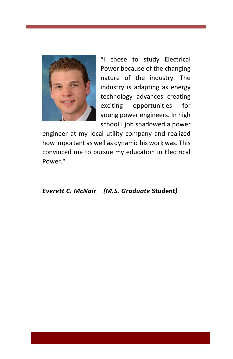

"I chose to study Electrical Power because of the changing nature of the industry. The industry is adapting as energy technology advances creating exciting opportunities for young power engineers. In high school I job shadowed a power

engineer at my local utility company and realized how important as well as dynamic his work was. This convinced me to pursue my education in Electrical Power."

#### *Everett C. McNair (M.S. Graduate* **Student***)*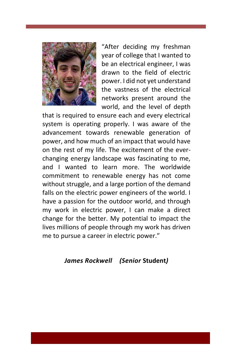

"After deciding my freshman year of college that I wanted to be an electrical engineer, I was drawn to the field of electric power. I did not yet understand the vastness of the electrical networks present around the world, and the level of depth

that is required to ensure each and every electrical system is operating properly. I was aware of the advancement towards renewable generation of power, and how much of an impact that would have on the rest of my life. The excitement of the everchanging energy landscape was fascinating to me, and I wanted to learn more. The worldwide commitment to renewable energy has not come without struggle, and a large portion of the demand falls on the electric power engineers of the world. I have a passion for the outdoor world, and through my work in electric power, I can make a direct change for the better. My potential to impact the lives millions of people through my work has driven me to pursue a career in electric power."

#### *James Rockwell (Senior* **Student***)*